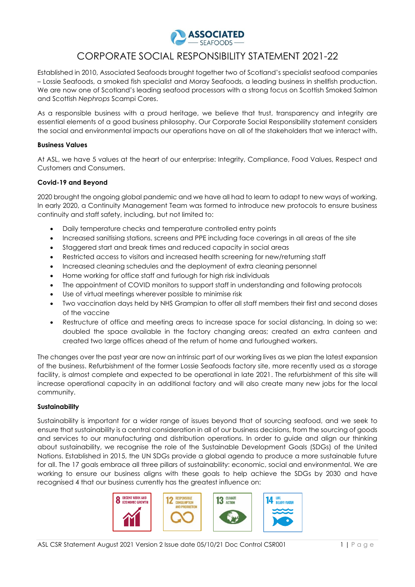

### CORPORATE SOCIAL RESPONSIBILITY STATEMENT 2021-22

Established in 2010, Associated Seafoods brought together two of Scotland's specialist seafood companies – Lossie Seafoods, a smoked fish specialist and Moray Seafoods, a leading business in shellfish production. We are now one of Scotland's leading seafood processors with a strong focus on Scottish Smoked Salmon and Scottish *Nephrops* Scampi Cores.

As a responsible business with a proud heritage, we believe that trust, transparency and integrity are essential elements of a good business philosophy. Our Corporate Social Responsibility statement considers the social and environmental impacts our operations have on all of the stakeholders that we interact with.

#### **Business Values**

At ASL, we have 5 values at the heart of our enterprise: Integrity, Compliance, Food Values, Respect and Customers and Consumers.

#### **Covid-19 and Beyond**

2020 brought the ongoing global pandemic and we have all had to learn to adapt to new ways of working. In early 2020, a Continuity Management Team was formed to introduce new protocols to ensure business continuity and staff safety, including, but not limited to:

- Daily temperature checks and temperature controlled entry points
- Increased sanitising stations, screens and PPE including face coverings in all areas of the site
- Staggered start and break times and reduced capacity in social areas
- Restricted access to visitors and increased health screening for new/returning staff
- Increased cleaning schedules and the deployment of extra cleaning personnel
- Home working for office staff and furlough for high risk individuals
- The appointment of COVID monitors to support staff in understanding and following protocols
- Use of virtual meetings wherever possible to minimise risk
- Two vaccination days held by NHS Grampian to offer all staff members their first and second doses of the vaccine
- Restructure of office and meeting areas to increase space for social distancing. In doing so we: doubled the space available in the factory changing areas; created an extra canteen and created two large offices ahead of the return of home and furloughed workers.

The changes over the past year are now an intrinsic part of our working lives as we plan the latest expansion of the business. Refurbishment of the former Lossie Seafoods factory site, more recently used as a storage facility, is almost complete and expected to be operational in late 2021. The refurbishment of this site will increase operational capacity in an additional factory and will also create many new jobs for the local community.

#### **Sustainability**

Sustainability is important for a wider range of issues beyond that of sourcing seafood, and we seek to ensure that sustainability is a central consideration in all of our business decisions, from the sourcing of goods and services to our manufacturing and distribution operations. In order to guide and align our thinking about sustainability, we recognise the role of the Sustainable Development Goals (SDGs) of the United Nations. Established in 2015, the UN SDGs provide a global agenda to produce a more sustainable future for all. The 17 goals embrace all three pillars of sustainability: economic, social and environmental. We are working to ensure our business aligns with these goals to help achieve the SDGs by 2030 and have recognised 4 that our business currently has the greatest influence on:

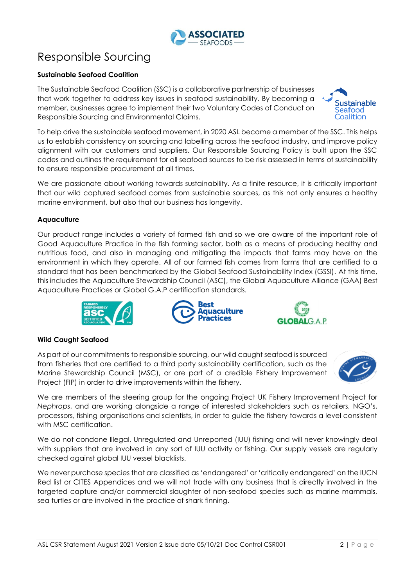# Responsible Sourcing

### **Sustainable Seafood Coalition**

The Sustainable Seafood Coalition (SSC) is a collaborative partnership of businesses that work together to address key issues in seafood sustainability. By becoming a member, businesses agree to implement their two Voluntary Codes of Conduct on Responsible Sourcing and Environmental Claims.

To help drive the sustainable seafood movement, in 2020 ASL became a member of the SSC. This helps us to establish consistency on sourcing and labelling across the seafood industry, and improve policy alignment with our customers and suppliers. Our Responsible Sourcing Policy is built upon the SSC codes and outlines the requirement for all seafood sources to be risk assessed in terms of sustainability to ensure responsible procurement at all times.

We are passionate about working towards sustainability. As a finite resource, it is critically important that our wild captured seafood comes from sustainable sources, as this not only ensures a healthy marine environment, but also that our business has longevity.

#### **Aquaculture**

Our product range includes a variety of farmed fish and so we are aware of the important role of Good Aquaculture Practice in the fish farming sector, both as a means of producing healthy and nutritious food, and also in managing and mitigating the impacts that farms may have on the environment in which they operate. All of our farmed fish comes from farms that are certified to a standard that has been benchmarked by the Global Seafood Sustainability Index (GSSI). At this time, this includes the Aquaculture Stewardship Council (ASC), the Global Aquaculture Alliance (GAA) Best Aquaculture Practices or Global G.A.P certification standards.

**Rest** 

**Wild Caught Seafood**

As part of our commitments to responsible sourcing, our wild caught seafood is sourced from fisheries that are certified to a third party sustainability certification, such as the Marine Stewardship Council (MSC), or are part of a credible Fishery Improvement Project (FIP) in order to drive improvements within the fishery.

We are members of the steering group for the ongoing Project UK Fishery Improvement Project for *Nephrops*, and are working alongside a range of interested stakeholders such as retailers, NGO's, processors, fishing organisations and scientists, in order to guide the fishery towards a level consistent with MSC certification.

We do not condone Illegal, Unregulated and Unreported (IUU) fishing and will never knowingly deal with suppliers that are involved in any sort of IUU activity or fishing. Our supply vessels are regularly checked against global IUU vessel blacklists.

We never purchase species that are classified as 'endangered' or 'critically endangered' on the IUCN Red list or CITES Appendices and we will not trade with any business that is directly involved in the targeted capture and/or commercial slaughter of non-seafood species such as marine mammals, sea turtles or are involved in the practice of shark finning.









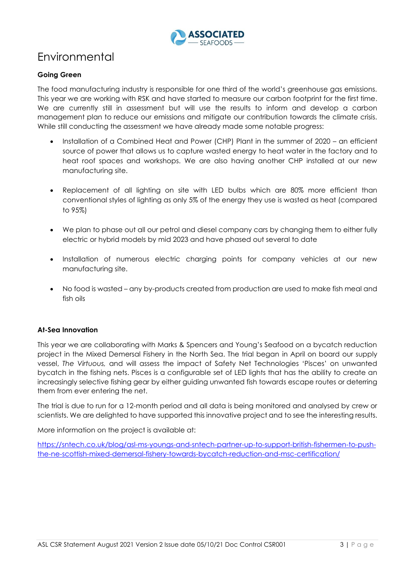

# Environmental

#### **Going Green**

The food manufacturing industry is responsible for one third of the world's greenhouse gas emissions. This year we are working with RSK and have started to measure our carbon footprint for the first time. We are currently still in assessment but will use the results to inform and develop a carbon management plan to reduce our emissions and mitigate our contribution towards the climate crisis. While still conducting the assessment we have already made some notable progress:

- Installation of a Combined Heat and Power (CHP) Plant in the summer of 2020 an efficient source of power that allows us to capture wasted energy to heat water in the factory and to heat roof spaces and workshops. We are also having another CHP installed at our new manufacturing site.
- Replacement of all lighting on site with LED bulbs which are 80% more efficient than conventional styles of lighting as only 5% of the energy they use is wasted as heat (compared to 95%)
- We plan to phase out all our petrol and diesel company cars by changing them to either fully electric or hybrid models by mid 2023 and have phased out several to date
- Installation of numerous electric charging points for company vehicles at our new manufacturing site.
- No food is wasted any by-products created from production are used to make fish meal and fish oils

#### **At-Sea Innovation**

This year we are collaborating with Marks & Spencers and Young's Seafood on a bycatch reduction project in the Mixed Demersal Fishery in the North Sea. The trial began in April on board our supply vessel, *The Virtuous,* and will assess the impact of Safety Net Technologies 'Pisces' on unwanted bycatch in the fishing nets. Pisces is a configurable set of LED lights that has the ability to create an increasingly selective fishing gear by either guiding unwanted fish towards escape routes or deterring them from ever entering the net.

The trial is due to run for a 12-month period and all data is being monitored and analysed by crew or scientists. We are delighted to have supported this innovative project and to see the interesting results.

More information on the project is available at:

[https://sntech.co.uk/blog/asl-ms-youngs-and-sntech-partner-up-to-support-british-fishermen-to-push](https://sntech.co.uk/blog/asl-ms-youngs-and-sntech-partner-up-to-support-british-fishermen-to-push-the-ne-scottish-mixed-demersal-fishery-towards-bycatch-reduction-and-msc-certification/)[the-ne-scottish-mixed-demersal-fishery-towards-bycatch-reduction-and-msc-certification/](https://sntech.co.uk/blog/asl-ms-youngs-and-sntech-partner-up-to-support-british-fishermen-to-push-the-ne-scottish-mixed-demersal-fishery-towards-bycatch-reduction-and-msc-certification/)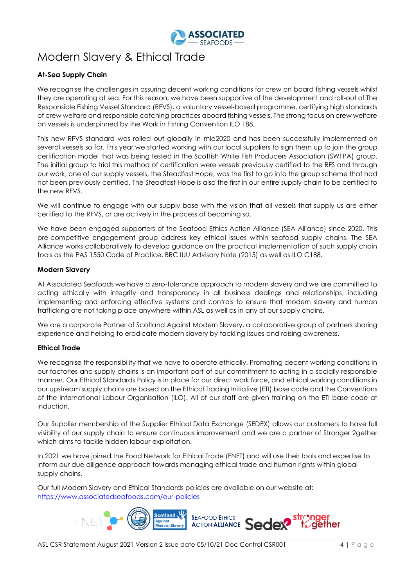

# Modern Slavery & Ethical Trade

#### **At-Sea Supply Chain**

We recognise the challenges in assuring decent working conditions for crew on board fishing vessels whilst they are operating at sea. For this reason, we have been supportive of the development and roll-out of The Responsible Fishing Vessel Standard (RFVS), a voluntary vessel-based programme, certifying high standards of crew welfare and responsible catching practices aboard fishing vessels. The strong focus on crew welfare on vessels is underpinned by the Work in Fishing Convention ILO 188.

This new RFVS standard was rolled out globally in mid2020 and has been successfully implemented on several vessels so far. This year we started working with our local suppliers to sign them up to join the group certification model that was being tested in the Scottish White Fish Producers Association (SWFPA) group. The initial group to trial this method of certification were vessels previously certified to the RFS and through our work, one of our supply vessels, the Steadfast Hope, was the first to go into the group scheme that had not been previously certified. The Steadfast Hope is also the first in our entire supply chain to be certified to the new RFVS.

We will continue to engage with our supply base with the vision that all vessels that supply us are either certified to the RFVS, or are actively in the process of becoming so.

We have been engaged supporters of the Seafood Ethics Action Alliance (SEA Alliance) since 2020. This pre-competitive engagement group address key ethical issues within seafood supply chains. The SEA Alliance works collaboratively to develop guidance on the practical implementation of such supply chain tools as the PAS 1550 Code of Practice, BRC IUU Advisory Note (2015) as well as ILO C188.

#### **Modern Slavery**

At Associated Seafoods we have a zero-tolerance approach to modern slavery and we are committed to acting ethically with integrity and transparency in all business dealings and relationships, including implementing and enforcing effective systems and controls to ensure that modern slavery and human trafficking are not taking place anywhere within ASL as well as in any of our supply chains.

We are a corporate Partner of Scotland Against Modern Slavery, a collaborative group of partners sharing experience and helping to eradicate modern slavery by tackling issues and raising awareness.

#### **Ethical Trade**

We recognise the responsibility that we have to operate ethically. Promoting decent working conditions in our factories and supply chains is an important part of our commitment to acting in a socially responsible manner. Our Ethical Standards Policy is in place for our direct work force, and ethical working conditions in our upstream supply chains are based on the Ethical Trading Initiative (ETI) base code and the Conventions of the International Labour Organisation (ILO). All of our staff are given training on the ETI base code at induction.

Our Supplier membership of the Supplier Ethical Data Exchange (SEDEX) allows our customers to have full visibility of our supply chain to ensure continuous improvement and we are a partner of Stronger 2gether which aims to tackle hidden labour exploitation.

In 2021 we have joined the Food Network for Ethical Trade (FNET) and will use their tools and expertise to inform our due diligence approach towards managing ethical trade and human rights within global supply chains.

Our full Modern Slavery and Ethical Standards policies are available on our website at: <https://www.associatedseafoods.com/our-policies>